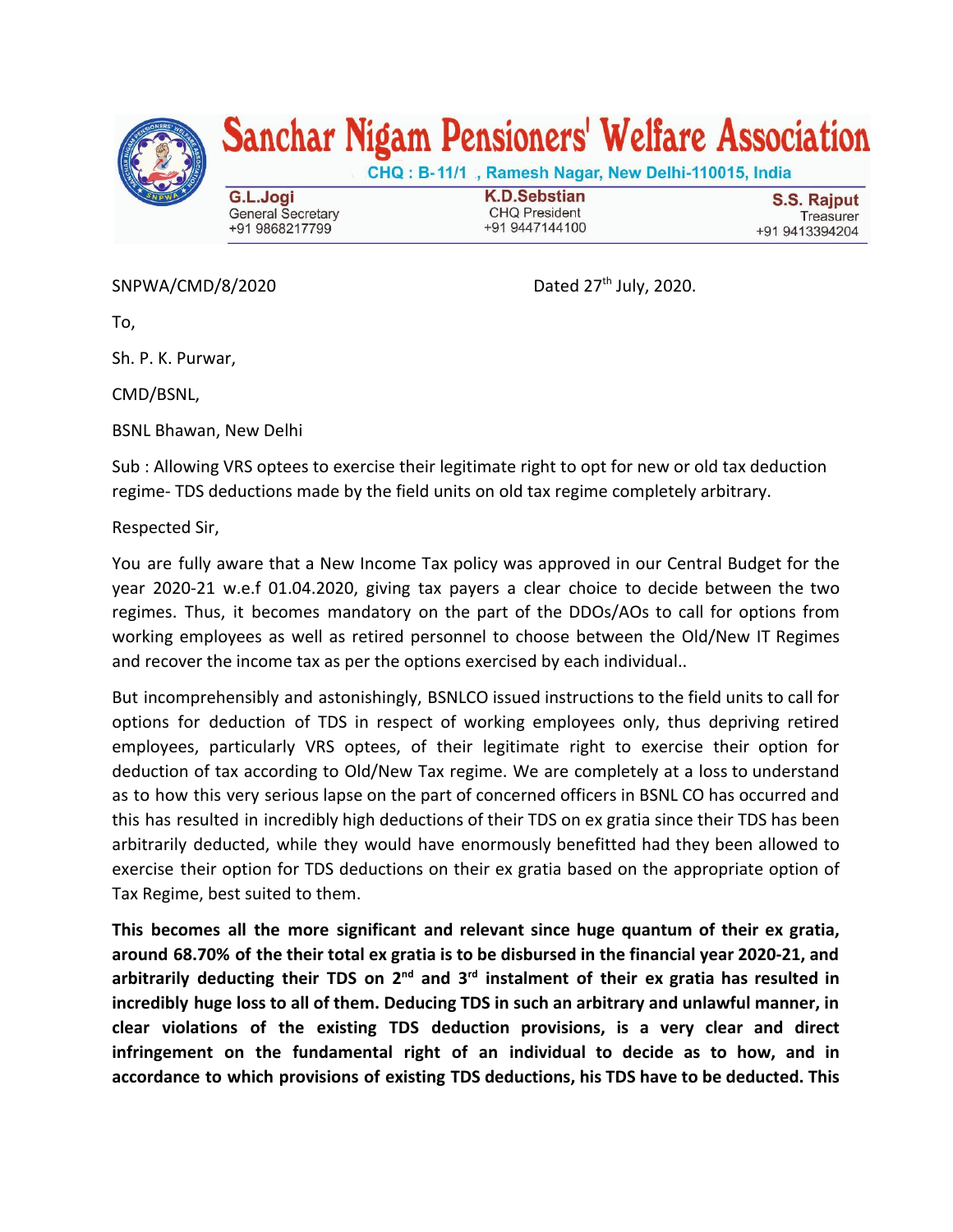

## Sanchar Nigam Pensioners' Welfare Association

CHQ: B-11/1, Ramesh Nagar, New Delhi-110015, India G.L.Jogi **General Secretary** +91 9868217799

**K.D.Sebstian CHQ President** +91 9447144100

S.S. Rajput Treasurer +91 9413394204

SNPWA/CMD/8/2020

Dated 27<sup>th</sup> July, 2020.

To,

Sh. P. K. Purwar,

CMD/BSNL,

BSNL Bhawan, New Delhi

Sub : Allowing VRS optees to exercise their legitimate right to opt for new or old tax deduction regime- TDS deductions made by the field units on old tax regime completely arbitrary.

Respected Sir,

You are fully aware that a New Income Tax policy was approved in our Central Budget for the year 2020-21 w.e.f 01.04.2020, giving tax payers a clear choice to decide between the two regimes. Thus, it becomes mandatory on the part of the DDOs/AOs to call for options from working employees as well as retired personnel to choose between the Old/New IT Regimes and recover the income tax as per the options exercised by each individual..

But incomprehensibly and astonishingly, BSNLCO issued instructions to the field units to call for options for deduction of TDS in respect of working employees only, thus depriving retired employees, particularly VRS optees, of their legitimate right to exercise their option for deduction of tax according to Old/New Tax regime. We are completely at a loss to understand as to how this very serious lapse on the part of concerned officers in BSNL CO has occurred and this has resulted in incredibly high deductions of their TDS on ex gratia since their TDS has been arbitrarily deducted, while they would have enormously benefitted had they been allowed to exercise their option for TDS deductions on their ex gratia based on the appropriate option of Tax Regime, best suited to them.

**This becomes all the more significant and relevant since huge quantum of their ex gratia, around 68.70% of the their total ex gratia is to be disbursed in the financial year 2020-21, and arbitrarily deducting their TDS on 2 nd and 3 rd instalment of their ex gratia has resulted in incredibly huge loss to all of them. Deducing TDS in such an arbitrary and unlawful manner, in clear violations of the existing TDS deduction provisions, is a very clear and direct infringement on the fundamental right of an individual to decide as to how, and in accordance to which provisions of existing TDS deductions, his TDS have to be deducted. This**